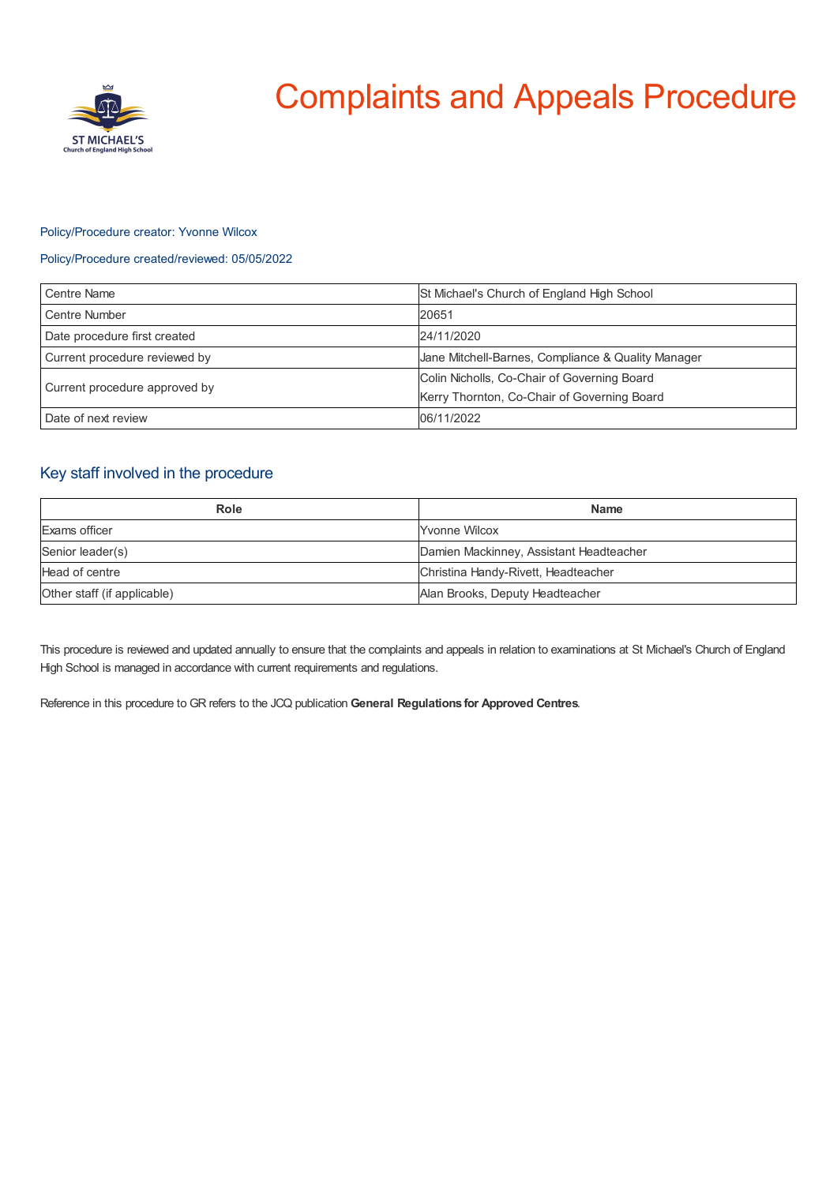

# Complaints and Appeals Procedure

### Policy/Procedure creator: Yvonne Wilcox

## Policy/Procedure created/reviewed: 05/05/2022

| Centre Name                   | St Michael's Church of England High School                                                 |
|-------------------------------|--------------------------------------------------------------------------------------------|
| Centre Number                 | 20651                                                                                      |
| Date procedure first created  | 24/11/2020                                                                                 |
| Current procedure reviewed by | Jane Mitchell-Barnes, Compliance & Quality Manager                                         |
| Current procedure approved by | Colin Nicholls, Co-Chair of Governing Board<br>Kerry Thornton, Co-Chair of Governing Board |
| Date of next review           | 06/11/2022                                                                                 |

# Key staff involved in the procedure

| Role                        | <b>Name</b>                             |
|-----------------------------|-----------------------------------------|
| Exams officer               | <b>Yvonne Wilcox</b>                    |
| Senior leader(s)            | Damien Mackinney, Assistant Headteacher |
| Head of centre              | Christina Handy-Rivett, Headteacher     |
| Other staff (if applicable) | Alan Brooks, Deputy Headteacher         |

This procedure is reviewed and updated annually to ensure that the complaints and appeals in relation to examinations at St Michael's Church of England High School is managed in accordance with current requirements and regulations.

Reference in this procedure to GR refers to the JCQ publication **General Regulations for Approved Centres**.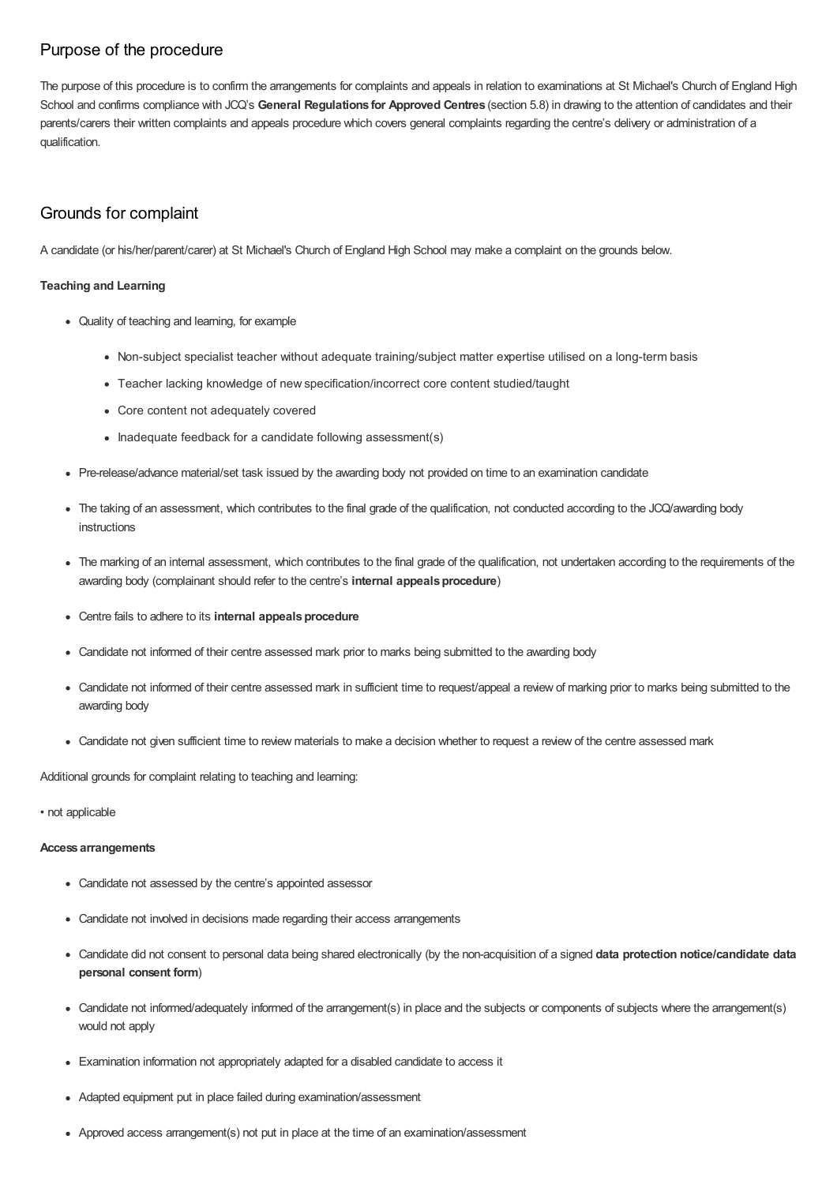# Purpose of the procedure

The purpose of this procedure is to confirm the arrangements for complaints and appeals in relation to examinations at St Michael's Church of England High School and confirms compliance with JCQ's **General Regulations for Approved Centres** (section 5.8) in drawing to the attention of candidates and their parents/carers their written complaints and appeals procedure which covers general complaints regarding the centre's delivery or administration of a qualification.

# Grounds for complaint

A candidate (or his/her/parent/carer) at St Michael's Church of England High School may make a complaint on the grounds below.

## **Teaching and Learning**

- Quality of teaching and learning, for example
	- Non-subject specialist teacher without adequate training/subject matter expertise utilised on a long-term basis
	- Teacher lacking knowledge of new specification/incorrect core content studied/taught
	- Core content not adequately covered
	- Inadequate feedback for a candidate following assessment(s)
- Pre-release/advance material/set task issued by the awarding body not provided on time to an examination candidate
- The taking of an assessment, which contributes to the final grade of the qualification, not conducted according to the JCQ/awarding body instructions
- The marking of an internal assessment, which contributes to the final grade of the qualification, not undertaken according to the requirements of the awarding body (complainant should refer to the centre's **internal appeals procedure**)
- **•** Centre fails to adhere to its **internal appeals procedure**
- Candidate not informed of their centre assessed mark prior to marks being submitted to the awarding body
- Candidate not informed of their centre assessed mark in sufficient time to request/appeal a review of marking prior to marks being submitted to the awarding body
- Candidate not given sufficient time to review materials to make a decision whether to request a review of the centre assessed mark

Additional grounds for complaint relating to teaching and learning:

• not applicable

#### **Access arrangements**

- Candidate not assessed by the centre's appointed assessor
- Candidate not involved in decisions made regarding their access arrangements
- Candidate did not consent to personal data being shared electronically (by the non-acquisition of a signed **data protection notice/candidate data personal consent form**)
- Candidate not informed/adequately informed of the arrangement(s) in place and the subjects or components of subjects where the arrangement(s) would not apply
- Examination information not appropriately adapted for a disabled candidate to access it
- Adapted equipment put in place failed during examination/assessment
- Approved access arrangement(s) not put in place at the time of an examination/assessment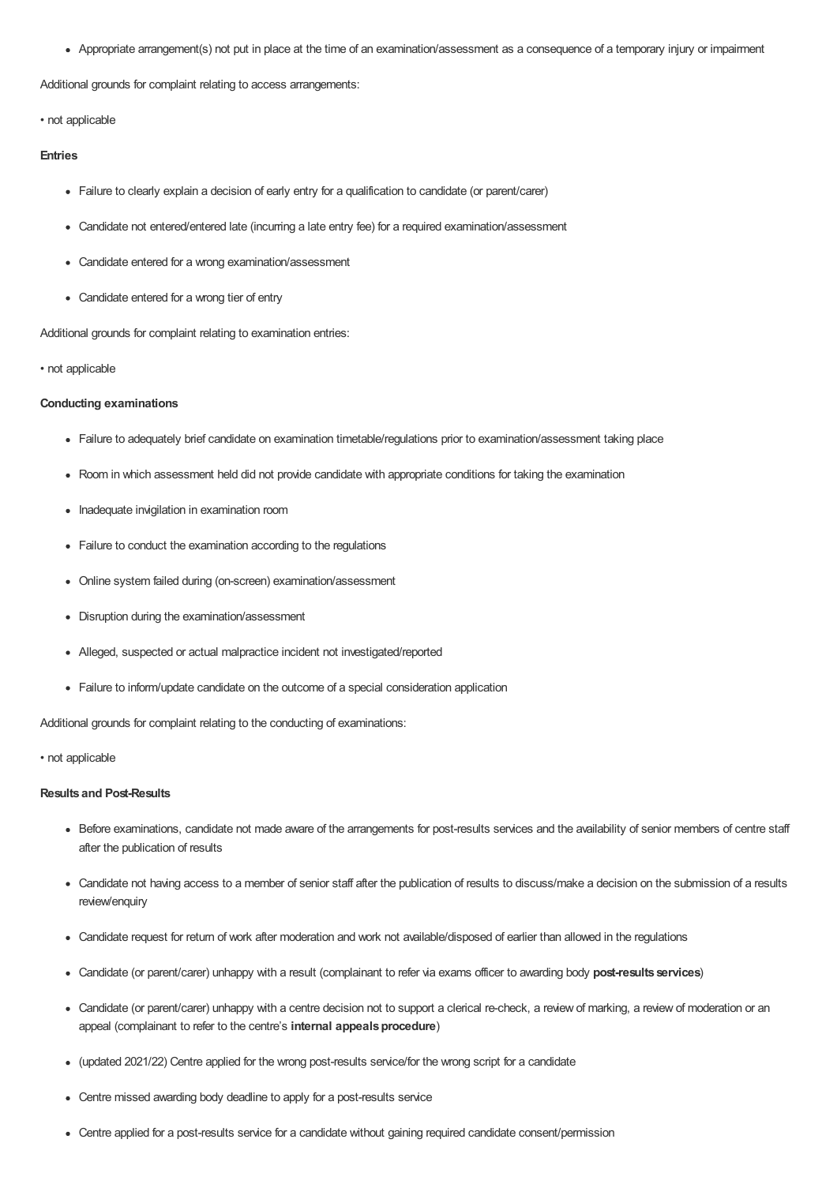Appropriate arrangement(s) not put in place at the time of an examination/assessment as a consequence of a temporary injury or impairment

Additional grounds for complaint relating to access arrangements:

• not applicable

#### **Entries**

- Failure to clearly explain a decision of early entry for a qualification to candidate (or parent/carer)
- Candidate not entered/entered late (incurring a late entry fee) for a required examination/assessment
- Candidate entered for a wrong examination/assessment
- Candidate entered for a wrong tier of entry

Additional grounds for complaint relating to examination entries:

#### • not applicable

#### **Conducting examinations**

- Failure to adequately brief candidate on examination timetable/regulations prior to examination/assessment taking place
- Room in which assessment held did not provide candidate with appropriate conditions for taking the examination
- Inadequate invigilation in examination room
- Failure to conduct the examination according to the regulations
- Online system failed during (on-screen) examination/assessment
- Disruption during the examination/assessment
- Alleged, suspected or actual malpractice incident not investigated/reported
- Failure to inform/update candidate on the outcome of a special consideration application

Additional grounds for complaint relating to the conducting of examinations:

#### • not applicable

#### **Results and Post-Results**

- Before examinations, candidate not made aware of the arrangements for post-results services and the availability of senior members of centre staff after the publication of results
- Candidate not having access to a member of senior staff after the publication of results to discuss/make a decision on the submission of a results review/enquiry
- Candidate request for return of work after moderation and work not available/disposed of earlier than allowed in the regulations
- Candidate (or parent/carer) unhappy with a result (complainant to refer via exams officer to awarding body **post-results services**)
- Candidate (or parent/carer) unhappy with a centre decision not to support a clerical re-check, a review of marking, a review of moderation or an appeal (complainant to refer to the centre's **internal appeals procedure**)
- (updated 2021/22) Centre applied for the wrong post-results service/for the wrong script for a candidate
- Centre missed awarding body deadline to apply for a post-results service
- Centre applied for a post-results service for a candidate without gaining required candidate consent/permission